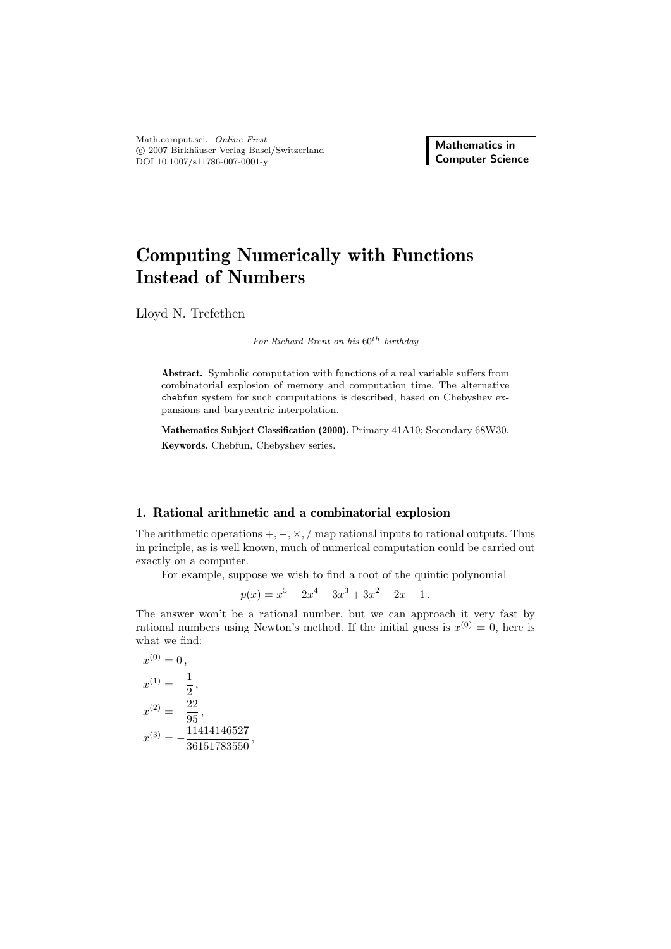Math.comput.sci. *Online First* -c 2007 Birkh¨auser Verlag Basel/Switzerland DOI 10.1007/s11786-007-0001-y

**Mathematics in Computer Science**

# **Computing Numerically with Functions Instead of Numbers**

Lloyd N. Trefethen

*For Richard Brent on his* 60th *birthday*

**Abstract.** Symbolic computation with functions of a real variable suffers from combinatorial explosion of memory and computation time. The alternative chebfun system for such computations is described, based on Chebyshev expansions and barycentric interpolation.

**Mathematics Subject Classification (2000).** Primary 41A10; Secondary 68W30. **Keywords.** Chebfun, Chebyshev series.

## **1. Rational arithmetic and a combinatorial explosion**

The arithmetic operations  $+,-, \times, /$  map rational inputs to rational outputs. Thus in principle, as is well known, much of numerical computation could be carried out exactly on a computer.

For example, suppose we wish to find a root of the quintic polynomial

$$
p(x) = x^5 - 2x^4 - 3x^3 + 3x^2 - 2x - 1.
$$

The answer won't be a rational number, but we can approach it very fast by rational numbers using Newton's method. If the initial guess is  $x^{(0)} = 0$ , here is what we find:

$$
x^{(0)} = 0,
$$
  
\n
$$
x^{(1)} = -\frac{1}{2},
$$
  
\n
$$
x^{(2)} = -\frac{22}{95},
$$
  
\n
$$
x^{(3)} = -\frac{11414146527}{36151783550},
$$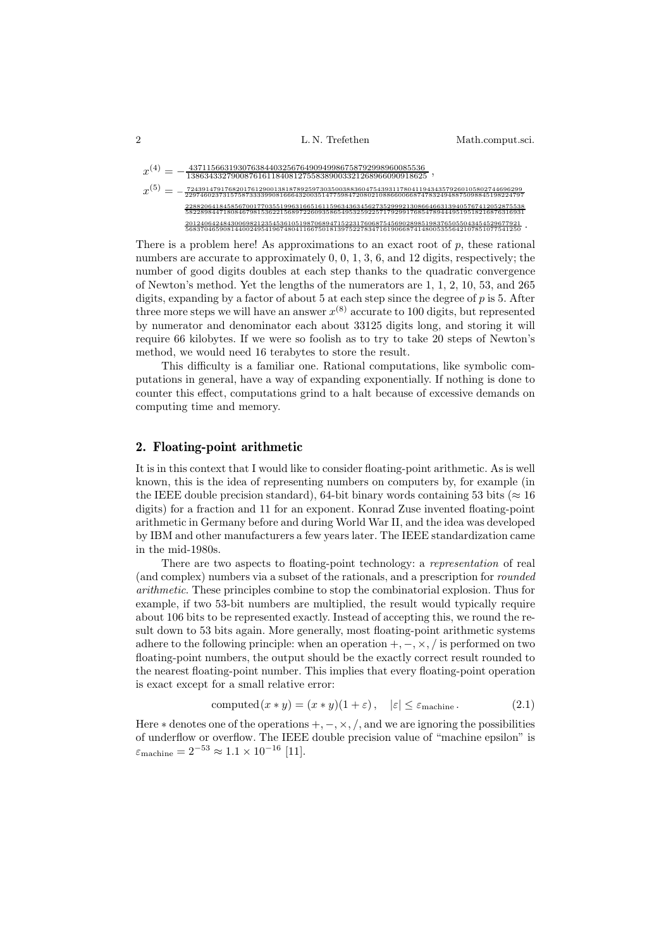2 L. N. Trefethen Math.comput.sci.

$$
x^{(4)} = -\frac{43711566319307638440325676490949986758792998960085536}{138634332790087616118408127558389003321268966090918625}, \\ x^{(5)} = -\frac{724391479176820176118408127558389003321268966090918625}{229746023731575873339908166643200351477598472080108862606687478324948875098845198224797}, \\ x^{(5)} = -\frac{7243914791768201712129013818789259730350038836006687478324948875098845198224797}{22882064184585670017703551996316651611596343634562735299921308664663139405767412052875538}{5822884471808467981536221268972260935865495325922377692991768547894449519518216876316931}{20124064248430063882123545361051966876748066874148005355642107851077541256} \cdot
$$

There is a problem here! As approximations to an exact root of  $p$ , these rational numbers are accurate to approximately 0, 0, 1, 3, 6, and 12 digits, respectively; the number of good digits doubles at each step thanks to the quadratic convergence of Newton's method. Yet the lengths of the numerators are 1, 1, 2, 10, 53, and 265 digits, expanding by a factor of about 5 at each step since the degree of  $p$  is 5. After three more steps we will have an answer  $x^{(8)}$  accurate to 100 digits, but represented by numerator and denominator each about 33125 digits long, and storing it will require 66 kilobytes. If we were so foolish as to try to take 20 steps of Newton's method, we would need 16 terabytes to store the result.

This difficulty is a familiar one. Rational computations, like symbolic computations in general, have a way of expanding exponentially. If nothing is done to counter this effect, computations grind to a halt because of excessive demands on computing time and memory.

#### **2. Floating-point arithmetic**

It is in this context that I would like to consider floating-point arithmetic. As is well known, this is the idea of representing numbers on computers by, for example (in the IEEE double precision standard), 64-bit binary words containing 53 bits ( $\approx 16$ ) digits) for a fraction and 11 for an exponent. Konrad Zuse invented floating-point arithmetic in Germany before and during World War II, and the idea was developed by IBM and other manufacturers a few years later. The IEEE standardization came in the mid-1980s.

There are two aspects to floating-point technology: a *representation* of real (and complex) numbers via a subset of the rationals, and a prescription for *rounded arithmetic*. These principles combine to stop the combinatorial explosion. Thus for example, if two 53-bit numbers are multiplied, the result would typically require about 106 bits to be represented exactly. Instead of accepting this, we round the result down to 53 bits again. More generally, most floating-point arithmetic systems adhere to the following principle: when an operation  $+,-, \times, /$  is performed on two floating-point numbers, the output should be the exactly correct result rounded to the nearest floating-point number. This implies that every floating-point operation is exact except for a small relative error:

computed 
$$
(x * y) = (x * y)(1 + \varepsilon), \quad |\varepsilon| \le \varepsilon_{\text{machine}}.
$$
 (2.1)

Here  $*$  denotes one of the operations  $+,- \times$ ,  $\lambda$ , and we are ignoring the possibilities of underflow or overflow. The IEEE double precision value of "machine epsilon" is  $\varepsilon_{\text{machine}} = 2^{-53} \approx 1.1 \times 10^{-16}$  [11].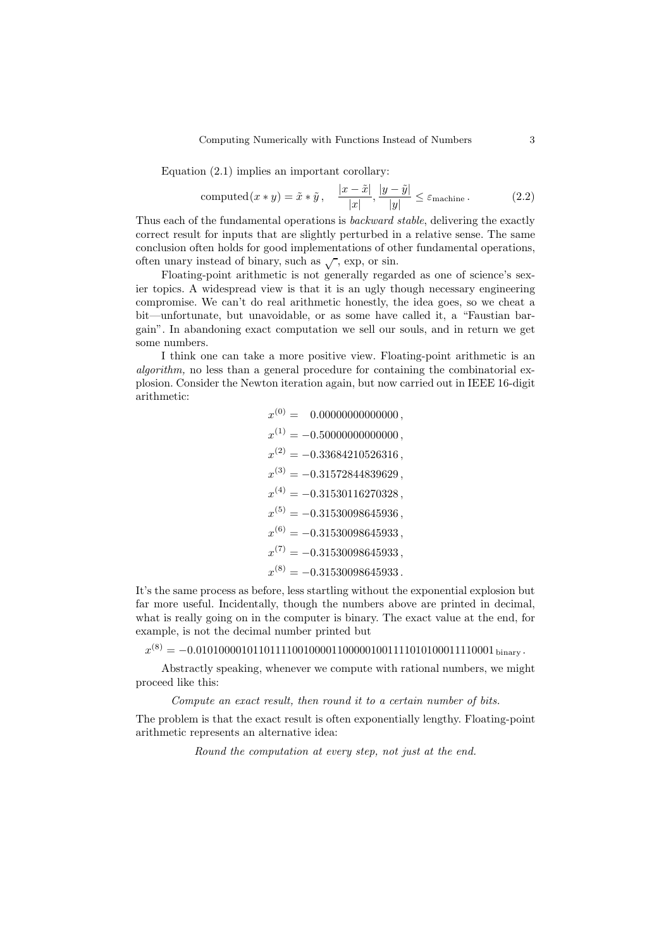Equation (2.1) implies an important corollary:

computed 
$$
(x * y) = \tilde{x} * \tilde{y}, \quad \frac{|x - \tilde{x}|}{|x|}, \frac{|y - \tilde{y}|}{|y|} \le \varepsilon_{\text{machine}}.
$$
 (2.2)

Thus each of the fundamental operations is *backward stable*, delivering the exactly correct result for inputs that are slightly perturbed in a relative sense. The same conclusion often holds for good implementations of other fundamental operations, often unary instead of binary, such as  $\sqrt{\ }$ , exp, or sin.

Floating-point arithmetic is not generally regarded as one of science's sexier topics. A widespread view is that it is an ugly though necessary engineering compromise. We can't do real arithmetic honestly, the idea goes, so we cheat a bit—unfortunate, but unavoidable, or as some have called it, a "Faustian bargain". In abandoning exact computation we sell our souls, and in return we get some numbers.

I think one can take a more positive view. Floating-point arithmetic is an *algorithm*, no less than a general procedure for containing the combinatorial explosion. Consider the Newton iteration again, but now carried out in IEEE 16-digit arithmetic:

$$
x^{(0)} = 0.000000000000000, \nx^{(1)} = -0.500000000000000, \nx^{(2)} = -0.33684210526316, \nx^{(3)} = -0.31572844839629, \nx^{(4)} = -0.31530116270328, \nx^{(5)} = -0.31530098645936, \nx^{(6)} = -0.31530098645933, \nx^{(7)} = -0.31530098645933, \nx^{(8)} = -0.31530098645933.
$$

It's the same process as before, less startling without the exponential explosion but far more useful. Incidentally, though the numbers above are printed in decimal, what is really going on in the computer is binary. The exact value at the end, for example, is not the decimal number printed but

x(8) = −0.01010000101101111001000011000001001111010100011110001 binary .

Abstractly speaking, whenever we compute with rational numbers, we might proceed like this:

*Compute an exact result, then round it to a certain number of bits.*

The problem is that the exact result is often exponentially lengthy. Floating-point arithmetic represents an alternative idea:

*Round the computation at every step, not just at the end.*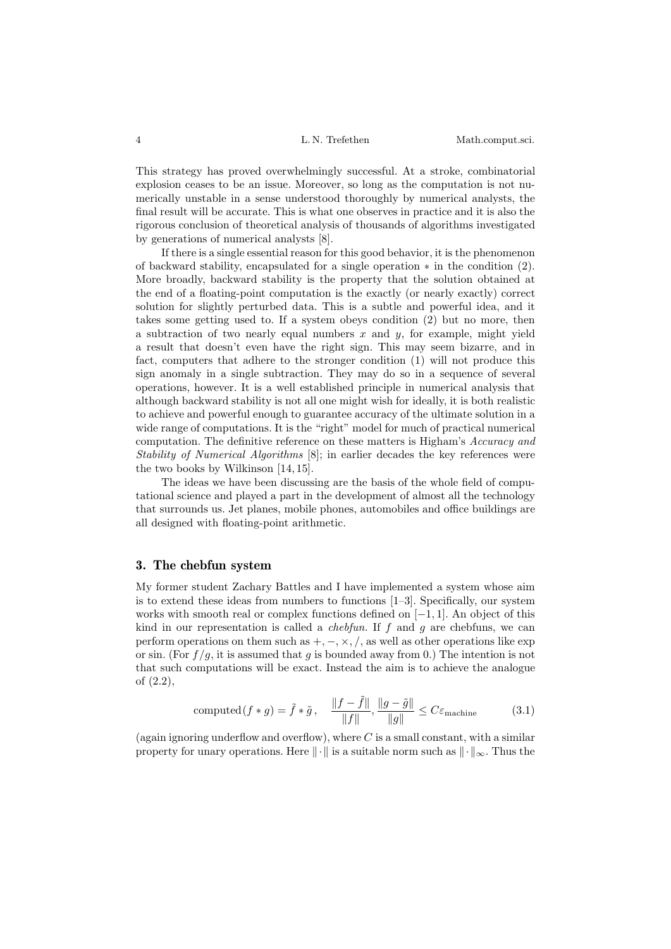This strategy has proved overwhelmingly successful. At a stroke, combinatorial explosion ceases to be an issue. Moreover, so long as the computation is not numerically unstable in a sense understood thoroughly by numerical analysts, the final result will be accurate. This is what one observes in practice and it is also the rigorous conclusion of theoretical analysis of thousands of algorithms investigated by generations of numerical analysts [8].

If there is a single essential reason for this good behavior, it is the phenomenon of backward stability, encapsulated for a single operation  $*$  in the condition  $(2)$ . More broadly, backward stability is the property that the solution obtained at the end of a floating-point computation is the exactly (or nearly exactly) correct solution for slightly perturbed data. This is a subtle and powerful idea, and it takes some getting used to. If a system obeys condition (2) but no more, then a subtraction of two nearly equal numbers  $x$  and  $y$ , for example, might yield a result that doesn't even have the right sign. This may seem bizarre, and in fact, computers that adhere to the stronger condition (1) will not produce this sign anomaly in a single subtraction. They may do so in a sequence of several operations, however. It is a well established principle in numerical analysis that although backward stability is not all one might wish for ideally, it is both realistic to achieve and powerful enough to guarantee accuracy of the ultimate solution in a wide range of computations. It is the "right" model for much of practical numerical computation. The definitive reference on these matters is Higham's *Accuracy and Stability of Numerical Algorithms* [8]; in earlier decades the key references were the two books by Wilkinson [14, 15].

The ideas we have been discussing are the basis of the whole field of computational science and played a part in the development of almost all the technology that surrounds us. Jet planes, mobile phones, automobiles and office buildings are all designed with floating-point arithmetic.

#### **3. The chebfun system**

My former student Zachary Battles and I have implemented a system whose aim is to extend these ideas from numbers to functions [1–3]. Specifically, our system works with smooth real or complex functions defined on [−1, 1]. An object of this kind in our representation is called a *chebfun*. If f and g are chebfuns, we can perform operations on them such as  $+,-, \times, /$ , as well as other operations like exp or sin. (For  $f/g$ , it is assumed that g is bounded away from 0.) The intention is not that such computations will be exact. Instead the aim is to achieve the analogue of (2.2),

computed
$$
(f * g) = \tilde{f} * \tilde{g}, \quad \frac{\|f - \tilde{f}\|}{\|f\|}, \frac{\|g - \tilde{g}\|}{\|g\|} \le C\varepsilon_{\text{machine}}
$$
 (3.1)

(again ignoring underflow and overflow), where  $C$  is a small constant, with a similar property for unary operations. Here  $\|\cdot\|$  is a suitable norm such as  $\|\cdot\|_{\infty}$ . Thus the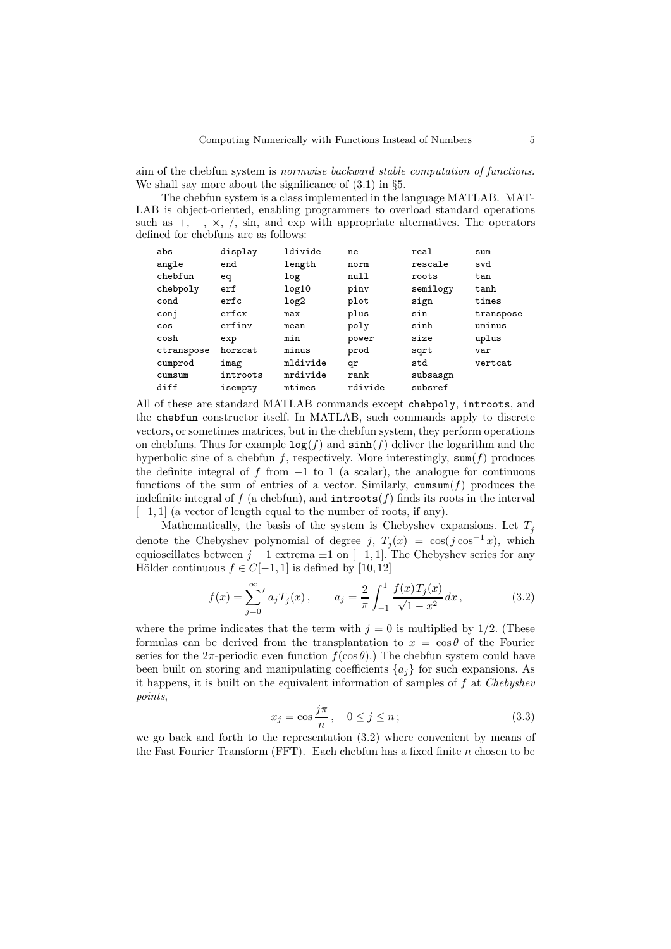aim of the chebfun system is *normwise backward stable computation of functions.* We shall say more about the significance of  $(3.1)$  in §5.

The chebfun system is a class implemented in the language MATLAB. MAT-LAB is object-oriented, enabling programmers to overload standard operations such as  $+$ ,  $-$ ,  $\times$ ,  $/$ , sin, and exp with appropriate alternatives. The operators defined for chebfuns are as follows:

| abs        | display  | ldivide  | ne      | real     | sum       |
|------------|----------|----------|---------|----------|-----------|
| angle      | end      | length   | norm    | rescale  | svd       |
| chebfun    | eq       | log      | null    | roots    | tan       |
| chebpoly   | erf      | log10    | pinv    | semilogy | tanh      |
| cond       | erfc     | log2     | plot    | sign     | times     |
| conj       | erfcx    | max      | plus    | sin      | transpose |
| cos        | erfiny   | mean     | poly    | sinh     | uminus    |
| cosh       | exp      | min      | power   | size     | uplus     |
| ctranspose | horzcat  | minus    | prod    | sqrt     | var       |
| cumprod    | imag     | mldivide | qr      | std      | vertcat   |
| cumsum     | introots | mrdivide | rank    | subsasgn |           |
| diff       | isempty  | mtimes   | rdivide | subsref  |           |

All of these are standard MATLAB commands except chebpoly, introots, and the chebfun constructor itself. In MATLAB, such commands apply to discrete vectors, or sometimes matrices, but in the chebfun system, they perform operations on chebfuns. Thus for example  $\log(f)$  and  $\sinh(f)$  deliver the logarithm and the hyperbolic sine of a chebfun f, respectively. More interestingly,  $\text{sum}(f)$  produces the definite integral of f from  $-1$  to 1 (a scalar), the analogue for continuous functions of the sum of entries of a vector. Similarly, cumsum $(f)$  produces the indefinite integral of f (a chebfun), and  $introots(f)$  finds its roots in the interval  $[-1, 1]$  (a vector of length equal to the number of roots, if any).

Mathematically, the basis of the system is Chebyshev expansions. Let  $T_i$ denote the Chebyshev polynomial of degree j,  $T_i(x) = \cos(j \cos^{-1} x)$ , which equioscillates between  $j + 1$  extrema  $\pm 1$  on  $[-1, 1]$ . The Chebyshev series for any Hölder continuous  $f \in C[-1,1]$  is defined by [10, 12]

$$
f(x) = \sum_{j=0}^{\infty} a_j T_j(x), \qquad a_j = \frac{2}{\pi} \int_{-1}^{1} \frac{f(x) T_j(x)}{\sqrt{1 - x^2}} dx,
$$
 (3.2)

where the prime indicates that the term with  $j = 0$  is multiplied by 1/2. (These formulas can be derived from the transplantation to  $x = \cos \theta$  of the Fourier series for the  $2\pi$ -periodic even function  $f(\cos \theta)$ .) The chebfun system could have been built on storing and manipulating coefficients  $\{a_i\}$  for such expansions. As it happens, it is built on the equivalent information of samples of f at *Chebyshev points*,

$$
x_j = \cos \frac{j\pi}{n}, \quad 0 \le j \le n;
$$
\n(3.3)

we go back and forth to the representation (3.2) where convenient by means of the Fast Fourier Transform (FFT). Each chebfun has a fixed finite  $n$  chosen to be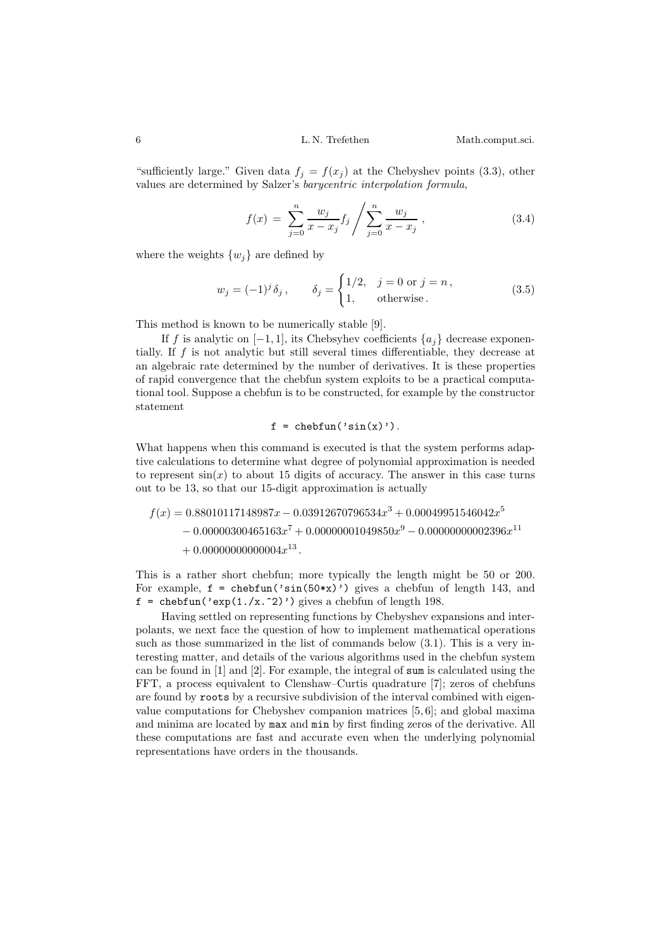"sufficiently large." Given data  $f_j = f(x_j)$  at the Chebyshev points (3.3), other values are determined by Salzer's *barycentric interpolation formula,*

$$
f(x) = \sum_{j=0}^{n} \frac{w_j}{x - x_j} f_j / \sum_{j=0}^{n} \frac{w_j}{x - x_j},
$$
\n(3.4)

where the weights  $\{w_i\}$  are defined by

$$
w_j = (-1)^j \delta_j
$$
,  $\delta_j = \begin{cases} 1/2, & j = 0 \text{ or } j = n, \\ 1, & \text{otherwise.} \end{cases}$  (3.5)

This method is known to be numerically stable [9].

If f is analytic on  $[-1, 1]$ , its Chebsyhev coefficients  $\{a_i\}$  decrease exponentially. If f is not analytic but still several times differentiable, they decrease at an algebraic rate determined by the number of derivatives. It is these properties of rapid convergence that the chebfun system exploits to be a practical computational tool. Suppose a chebfun is to be constructed, for example by the constructor statement

$$
f = \text{chebfun}('sin(x))'
$$

What happens when this command is executed is that the system performs adaptive calculations to determine what degree of polynomial approximation is needed to represent  $sin(x)$  to about 15 digits of accuracy. The answer in this case turns out to be 13, so that our 15-digit approximation is actually

$$
f(x) = 0.88010117148987x - 0.03912670796534x^{3} + 0.00049951546042x^{5}
$$
  
- 0.00000300465163x<sup>7</sup> + 0.000000001049850x<sup>9</sup> - 0.00000000002396x<sup>11</sup>  
+ 0.00000000000004x<sup>13</sup>.

This is a rather short chebfun; more typically the length might be 50 or 200. For example,  $f = \text{chebfun}('sin(50*x)')$  gives a chebfun of length 143, and f = chebfun('exp(1./x.^2)') gives a chebfun of length 198.

Having settled on representing functions by Chebyshev expansions and interpolants, we next face the question of how to implement mathematical operations such as those summarized in the list of commands below (3.1). This is a very interesting matter, and details of the various algorithms used in the chebfun system can be found in [1] and [2]. For example, the integral of sum is calculated using the FFT, a process equivalent to Clenshaw–Curtis quadrature [7]; zeros of chebfuns are found by roots by a recursive subdivision of the interval combined with eigenvalue computations for Chebyshev companion matrices [5, 6]; and global maxima and minima are located by max and min by first finding zeros of the derivative. All these computations are fast and accurate even when the underlying polynomial representations have orders in the thousands.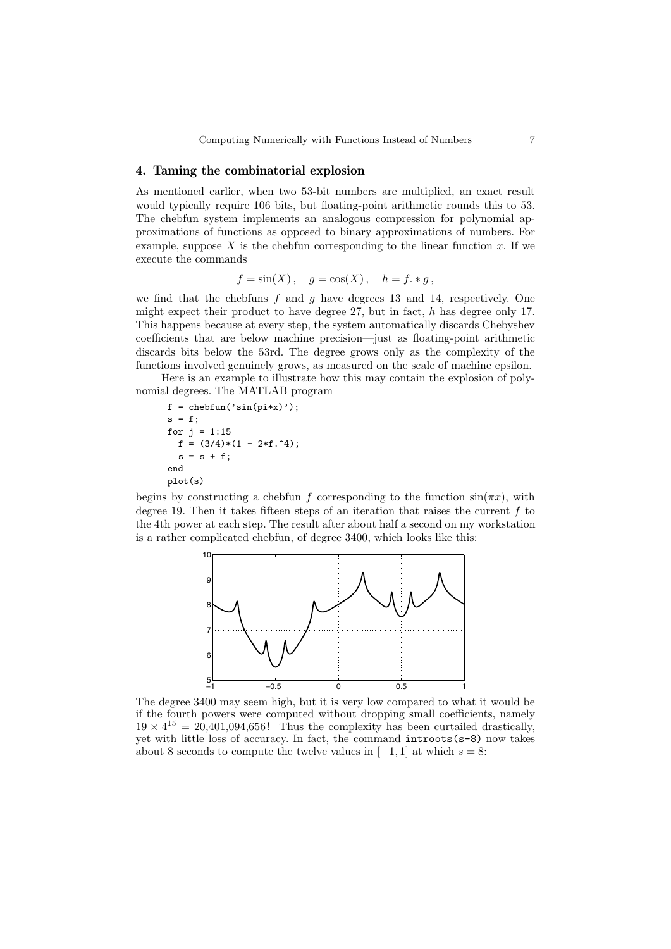#### **4. Taming the combinatorial explosion**

As mentioned earlier, when two 53-bit numbers are multiplied, an exact result would typically require 106 bits, but floating-point arithmetic rounds this to 53. The chebfun system implements an analogous compression for polynomial approximations of functions as opposed to binary approximations of numbers. For example, suppose  $X$  is the chebfun corresponding to the linear function  $x$ . If we execute the commands

$$
f = \sin(X), \quad g = \cos(X), \quad h = f \cdot * g,
$$

we find that the chebfuns  $f$  and  $g$  have degrees 13 and 14, respectively. One might expect their product to have degree  $27$ , but in fact, h has degree only 17. This happens because at every step, the system automatically discards Chebyshev coefficients that are below machine precision—just as floating-point arithmetic discards bits below the 53rd. The degree grows only as the complexity of the functions involved genuinely grows, as measured on the scale of machine epsilon.

Here is an example to illustrate how this may contain the explosion of polynomial degrees. The MATLAB program

```
f = \text{chebfun('sin(pix)');}s = f;
for j = 1:15f = (3/4)*(1 - 2*f.^{4});s = s + f;end
plot(s)
```
begins by constructing a chebfun f corresponding to the function  $sin(\pi x)$ , with degree 19. Then it takes fifteen steps of an iteration that raises the current  $f$  to the 4th power at each step. The result after about half a second on my workstation is a rather complicated chebfun, of degree 3400, which looks like this:



The degree 3400 may seem high, but it is very low compared to what it would be if the fourth powers were computed without dropping small coefficients, namely  $19 \times 4^{15} = 20,401,094,656!$  Thus the complexity has been curtailed drastically, yet with little loss of accuracy. In fact, the command introots(s-8) now takes about 8 seconds to compute the twelve values in  $[-1, 1]$  at which  $s = 8$ :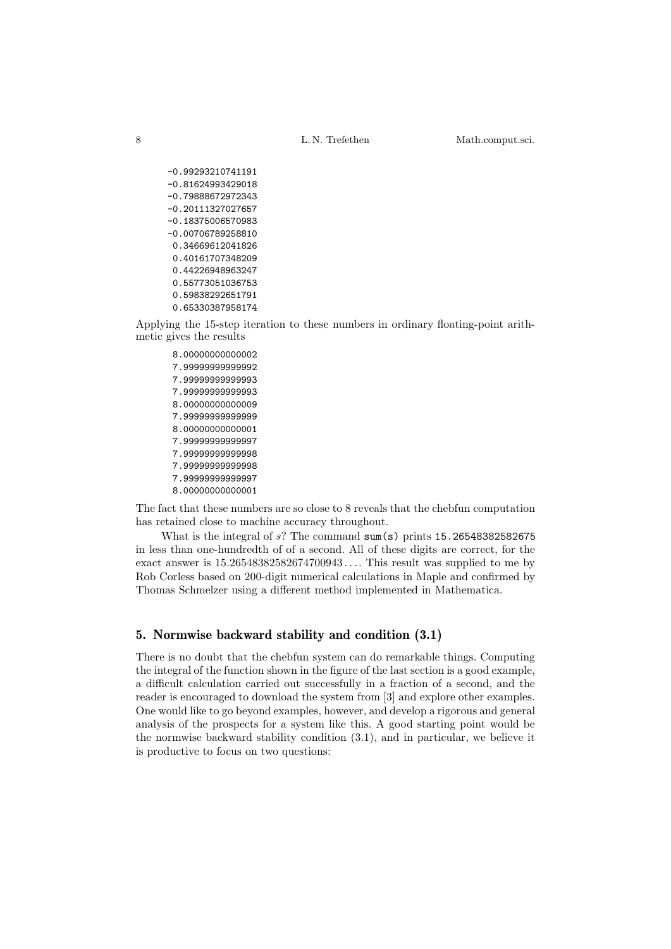8 L. N. Trefethen Math.comput.sci.

-0.99293210741191 -0.81624993429018 -0.79888672972343 -0.20111327027657 -0.18375006570983 -0.00706789258810 0.34669612041826 0.40161707348209 0.44226948963247 0.55773051036753 0.59838292651791 0.65330387958174

Applying the 15-step iteration to these numbers in ordinary floating-point arithmetic gives the results

8.00000000000002 7.99999999999992 7.99999999999993 7.99999999999993 8.00000000000009 7.99999999999999 8.00000000000001 7.99999999999997 7.99999999999998 7.99999999999998 7.99999999999997 8.00000000000001

The fact that these numbers are so close to 8 reveals that the chebfun computation has retained close to machine accuracy throughout.

What is the integral of  $s$ ? The command  $sum(s)$  prints 15.26548382582675 in less than one-hundredth of of a second. All of these digits are correct, for the exact answer is 15.26548382582674700943 .... This result was supplied to me by Rob Corless based on 200-digit numerical calculations in Maple and confirmed by Thomas Schmelzer using a different method implemented in Mathematica.

# **5. Normwise backward stability and condition (3.1)**

There is no doubt that the chebfun system can do remarkable things. Computing the integral of the function shown in the figure of the last section is a good example, a difficult calculation carried out successfully in a fraction of a second, and the reader is encouraged to download the system from [3] and explore other examples. One would like to go beyond examples, however, and develop a rigorous and general analysis of the prospects for a system like this. A good starting point would be the normwise backward stability condition (3.1), and in particular, we believe it is productive to focus on two questions: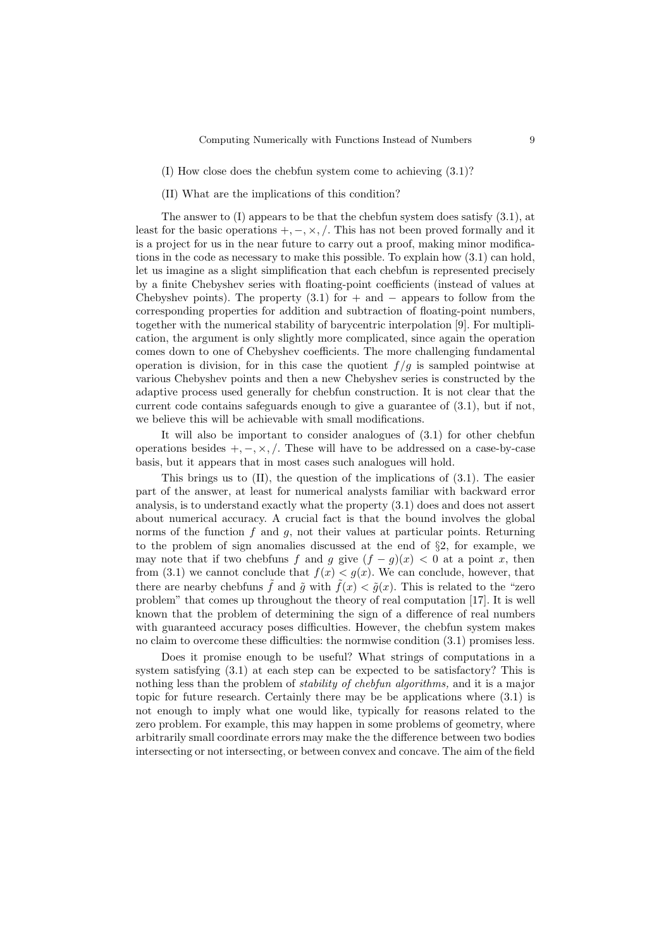- (I) How close does the chebfun system come to achieving (3.1)?
- (II) What are the implications of this condition?

The answer to (I) appears to be that the chebfun system does satisfy (3.1), at least for the basic operations  $+,-, \times, /$ . This has not been proved formally and it is a project for us in the near future to carry out a proof, making minor modifications in the code as necessary to make this possible. To explain how (3.1) can hold, let us imagine as a slight simplification that each chebfun is represented precisely by a finite Chebyshev series with floating-point coefficients (instead of values at Chebyshev points). The property  $(3.1)$  for  $+$  and  $-$  appears to follow from the corresponding properties for addition and subtraction of floating-point numbers, together with the numerical stability of barycentric interpolation [9]. For multiplication, the argument is only slightly more complicated, since again the operation comes down to one of Chebyshev coefficients. The more challenging fundamental operation is division, for in this case the quotient  $f/g$  is sampled pointwise at various Chebyshev points and then a new Chebyshev series is constructed by the adaptive process used generally for chebfun construction. It is not clear that the current code contains safeguards enough to give a guarantee of (3.1), but if not, we believe this will be achievable with small modifications.

It will also be important to consider analogues of (3.1) for other chebfun operations besides  $+,- \times, /$ . These will have to be addressed on a case-by-case basis, but it appears that in most cases such analogues will hold.

This brings us to  $(II)$ , the question of the implications of  $(3.1)$ . The easier part of the answer, at least for numerical analysts familiar with backward error analysis, is to understand exactly what the property (3.1) does and does not assert about numerical accuracy. A crucial fact is that the bound involves the global norms of the function  $f$  and  $g$ , not their values at particular points. Returning to the problem of sign anomalies discussed at the end of  $\S$ 2, for example, we may note that if two chebfuns f and g give  $(f - g)(x) < 0$  at a point x, then from (3.1) we cannot conclude that  $f(x) < g(x)$ . We can conclude, however, that there are nearby chebfuns  $\tilde{f}$  and  $\tilde{g}$  with  $\tilde{f}(x) < \tilde{g}(x)$ . This is related to the "zero" problem" that comes up throughout the theory of real computation [17]. It is well known that the problem of determining the sign of a difference of real numbers with guaranteed accuracy poses difficulties. However, the chebfun system makes no claim to overcome these difficulties: the normwise condition (3.1) promises less.

Does it promise enough to be useful? What strings of computations in a system satisfying (3.1) at each step can be expected to be satisfactory? This is nothing less than the problem of *stability of chebfun algorithms,* and it is a major topic for future research. Certainly there may be be applications where (3.1) is not enough to imply what one would like, typically for reasons related to the zero problem. For example, this may happen in some problems of geometry, where arbitrarily small coordinate errors may make the the difference between two bodies intersecting or not intersecting, or between convex and concave. The aim of the field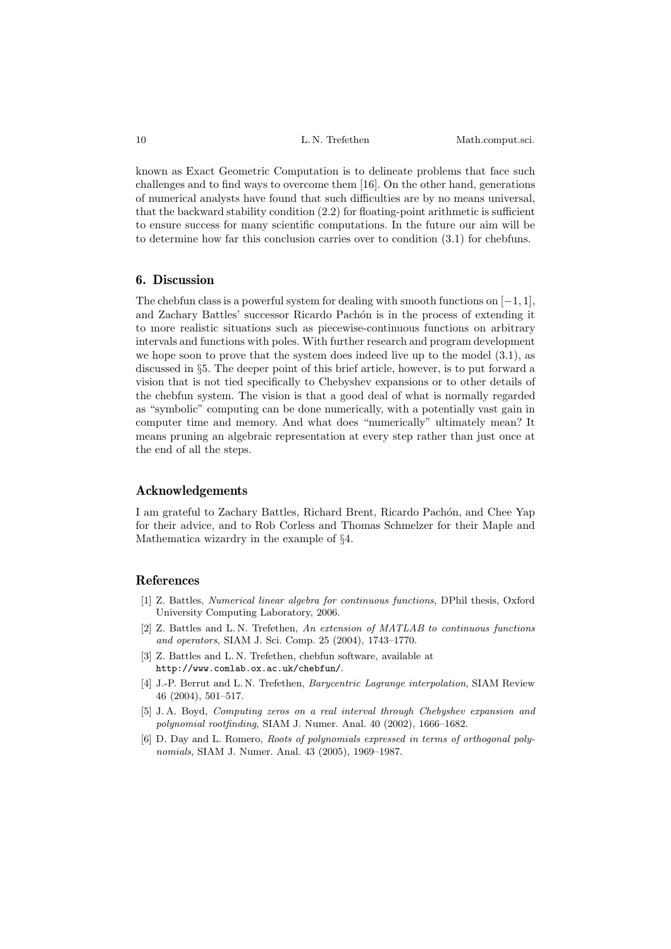known as Exact Geometric Computation is to delineate problems that face such challenges and to find ways to overcome them [16]. On the other hand, generations of numerical analysts have found that such difficulties are by no means universal, that the backward stability condition (2.2) for floating-point arithmetic is sufficient to ensure success for many scientific computations. In the future our aim will be to determine how far this conclusion carries over to condition (3.1) for chebfuns.

# **6. Discussion**

The chebfun class is a powerful system for dealing with smooth functions on  $[-1, 1]$ , and Zachary Battles' successor Ricardo Pachón is in the process of extending it to more realistic situations such as piecewise-continuous functions on arbitrary intervals and functions with poles. With further research and program development we hope soon to prove that the system does indeed live up to the model (3.1), as discussed in §5. The deeper point of this brief article, however, is to put forward a vision that is not tied specifically to Chebyshev expansions or to other details of the chebfun system. The vision is that a good deal of what is normally regarded as "symbolic" computing can be done numerically, with a potentially vast gain in computer time and memory. And what does "numerically" ultimately mean? It means pruning an algebraic representation at every step rather than just once at the end of all the steps.

#### **Acknowledgements**

I am grateful to Zachary Battles, Richard Brent, Ricardo Pachón, and Chee Yap for their advice, and to Rob Corless and Thomas Schmelzer for their Maple and Mathematica wizardry in the example of §4.

### **References**

- [1] Z. Battles, *Numerical linear algebra for continuous functions*, DPhil thesis, Oxford University Computing Laboratory, 2006.
- [2] Z. Battles and L. N. Trefethen, *An extension of MATLAB to continuous functions and operators*, SIAM J. Sci. Comp. 25 (2004), 1743–1770.
- [3] Z. Battles and L. N. Trefethen, chebfun software, available at http://www.comlab.ox.ac.uk/chebfun/.
- [4] J.-P. Berrut and L. N. Trefethen, *Barycentric Lagrange interpolation*, SIAM Review 46 (2004), 501–517.
- [5] J. A. Boyd, *Computing zeros on a real interval through Chebyshev expansion and polynomial rootfinding*, SIAM J. Numer. Anal. 40 (2002), 1666–1682.
- [6] D. Day and L. Romero, *Roots of polynomials expressed in terms of orthogonal polynomials*, SIAM J. Numer. Anal. 43 (2005), 1969–1987.